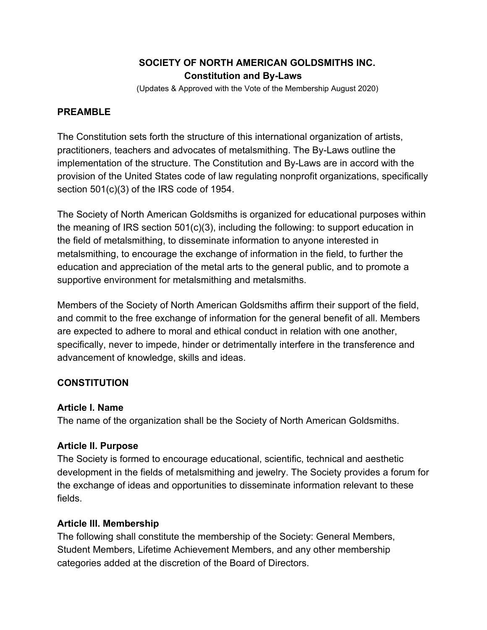# **SOCIETY OF NORTH AMERICAN GOLDSMITHS INC. Constitution and By-Laws**

(Updates & Approved with the Vote of the Membership August 2020)

## **PREAMBLE**

The Constitution sets forth the structure of this international organization of artists, practitioners, teachers and advocates of metalsmithing. The By-Laws outline the implementation of the structure. The Constitution and By-Laws are in accord with the provision of the United States code of law regulating nonprofit organizations, specifically section 501(c)(3) of the IRS code of 1954.

The Society of North American Goldsmiths is organized for educational purposes within the meaning of IRS section 501(c)(3), including the following: to support education in the field of metalsmithing, to disseminate information to anyone interested in metalsmithing, to encourage the exchange of information in the field, to further the education and appreciation of the metal arts to the general public, and to promote a supportive environment for metalsmithing and metalsmiths.

Members of the Society of North American Goldsmiths affirm their support of the field, and commit to the free exchange of information for the general benefit of all. Members are expected to adhere to moral and ethical conduct in relation with one another, specifically, never to impede, hinder or detrimentally interfere in the transference and advancement of knowledge, skills and ideas.

# **CONSTITUTION**

## **Article I. Name**

The name of the organization shall be the Society of North American Goldsmiths.

# **Article II. Purpose**

The Society is formed to encourage educational, scientific, technical and aesthetic development in the fields of metalsmithing and jewelry. The Society provides a forum for the exchange of ideas and opportunities to disseminate information relevant to these fields.

# **Article III. Membership**

The following shall constitute the membership of the Society: General Members, Student Members, Lifetime Achievement Members, and any other membership categories added at the discretion of the Board of Directors.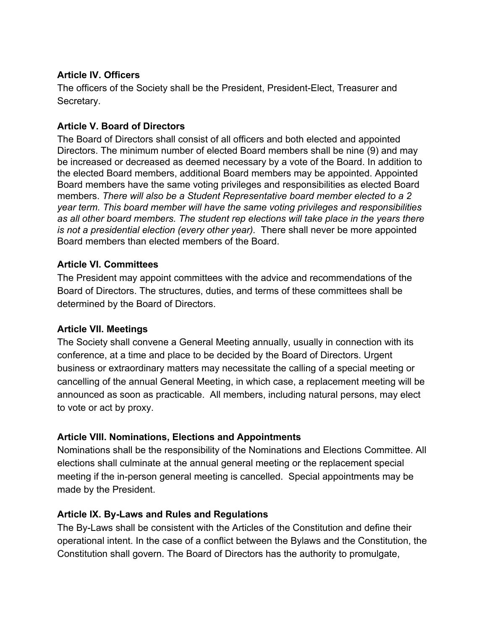## **Article IV. Officers**

The officers of the Society shall be the President, President-Elect, Treasurer and Secretary.

## **Article V. Board of Directors**

The Board of Directors shall consist of all officers and both elected and appointed Directors. The minimum number of elected Board members shall be nine (9) and may be increased or decreased as deemed necessary by a vote of the Board. In addition to the elected Board members, additional Board members may be appointed. Appointed Board members have the same voting privileges and responsibilities as elected Board members. *There will also be a Student Representative board member elected to a 2 year term. This board member will have the same voting privileges and responsibilities as all other board members. The student rep elections will take place in the years there is not a presidential election (every other year).* There shall never be more appointed Board members than elected members of the Board.

## **Article VI. Committees**

The President may appoint committees with the advice and recommendations of the Board of Directors. The structures, duties, and terms of these committees shall be determined by the Board of Directors.

#### **Article VII. Meetings**

The Society shall convene a General Meeting annually, usually in connection with its conference, at a time and place to be decided by the Board of Directors. Urgent business or extraordinary matters may necessitate the calling of a special meeting or cancelling of the annual General Meeting, in which case, a replacement meeting will be announced as soon as practicable. All members, including natural persons, may elect to vote or act by proxy.

## **Article VIII. Nominations, Elections and Appointments**

Nominations shall be the responsibility of the Nominations and Elections Committee. All elections shall culminate at the annual general meeting or the replacement special meeting if the in-person general meeting is cancelled. Special appointments may be made by the President.

## **Article IX. By-Laws and Rules and Regulations**

The By-Laws shall be consistent with the Articles of the Constitution and define their operational intent. In the case of a conflict between the Bylaws and the Constitution, the Constitution shall govern. The Board of Directors has the authority to promulgate,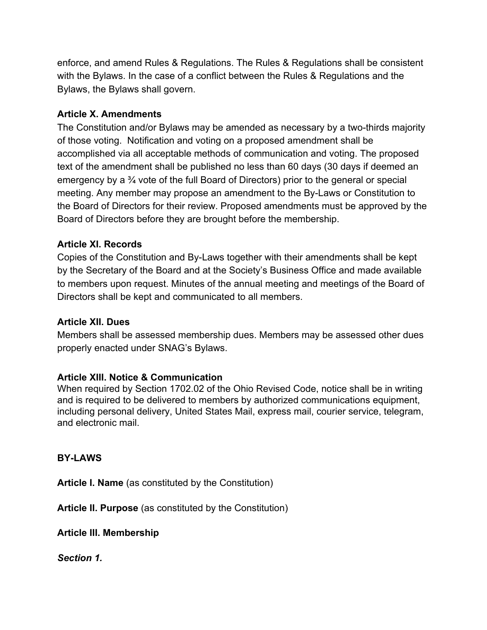enforce, and amend Rules & Regulations. The Rules & Regulations shall be consistent with the Bylaws. In the case of a conflict between the Rules & Regulations and the Bylaws, the Bylaws shall govern.

## **Article X. Amendments**

The Constitution and/or Bylaws may be amended as necessary by a two-thirds majority of those voting. Notification and voting on a proposed amendment shall be accomplished via all acceptable methods of communication and voting. The proposed text of the amendment shall be published no less than 60 days (30 days if deemed an emergency by a ¾ vote of the full Board of Directors) prior to the general or special meeting. Any member may propose an amendment to the By-Laws or Constitution to the Board of Directors for their review. Proposed amendments must be approved by the Board of Directors before they are brought before the membership.

## **Article XI. Records**

Copies of the Constitution and By-Laws together with their amendments shall be kept by the Secretary of the Board and at the Society's Business Office and made available to members upon request. Minutes of the annual meeting and meetings of the Board of Directors shall be kept and communicated to all members.

## **Article XII. Dues**

Members shall be assessed membership dues. Members may be assessed other dues properly enacted under SNAG's Bylaws.

# **Article XIII. Notice & Communication**

When required by Section 1702.02 of the Ohio Revised Code, notice shall be in writing and is required to be delivered to members by authorized communications equipment, including personal delivery, United States Mail, express mail, courier service, telegram, and electronic mail.

## **BY-LAWS**

**Article I. Name** (as constituted by the Constitution)

**Article II. Purpose** (as constituted by the Constitution)

**Article III. Membership**

*Section 1.*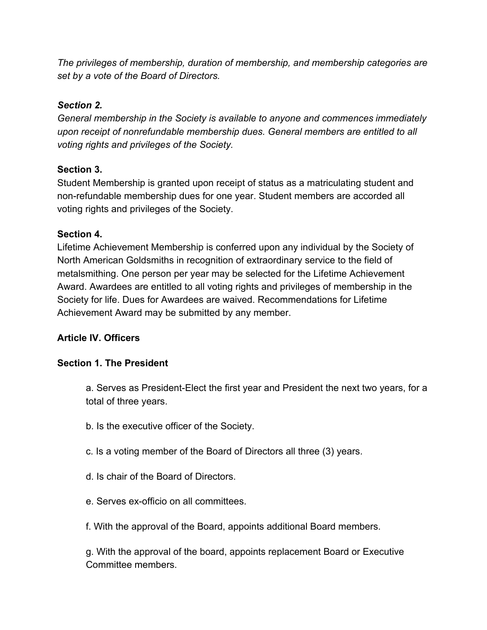*The privileges of membership, duration of membership, and membership categories are set by a vote of the Board of Directors.*

# *Section 2.*

*General membership in the Society is available to anyone and commences immediately upon receipt of nonrefundable membership dues. General members are entitled to all voting rights and privileges of the Society.*

# **Section 3.**

Student Membership is granted upon receipt of status as a matriculating student and non-refundable membership dues for one year. Student members are accorded all voting rights and privileges of the Society.

# **Section 4.**

Lifetime Achievement Membership is conferred upon any individual by the Society of North American Goldsmiths in recognition of extraordinary service to the field of metalsmithing. One person per year may be selected for the Lifetime Achievement Award. Awardees are entitled to all voting rights and privileges of membership in the Society for life. Dues for Awardees are waived. Recommendations for Lifetime Achievement Award may be submitted by any member.

# **Article IV. Officers**

# **Section 1. The President**

a. Serves as President-Elect the first year and President the next two years, for a total of three years.

- b. Is the executive officer of the Society.
- c. Is a voting member of the Board of Directors all three (3) years.
- d. Is chair of the Board of Directors.
- e. Serves ex-officio on all committees.

f. With the approval of the Board, appoints additional Board members.

g. With the approval of the board, appoints replacement Board or Executive Committee members.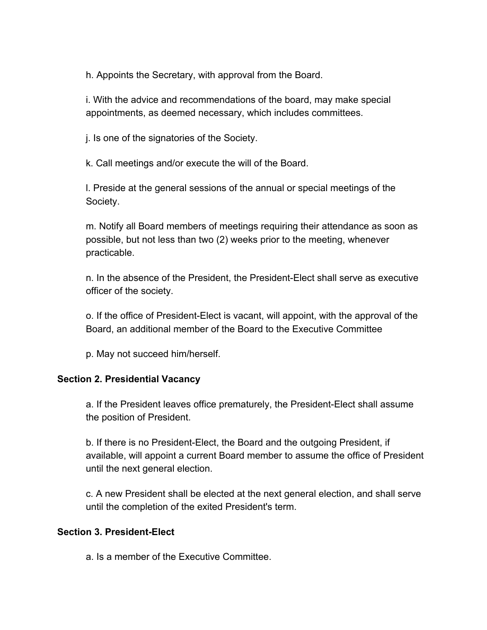h. Appoints the Secretary, with approval from the Board.

i. With the advice and recommendations of the board, may make special appointments, as deemed necessary, which includes committees.

j. Is one of the signatories of the Society.

k. Call meetings and/or execute the will of the Board.

l. Preside at the general sessions of the annual or special meetings of the Society.

m. Notify all Board members of meetings requiring their attendance as soon as possible, but not less than two (2) weeks prior to the meeting, whenever practicable.

n. In the absence of the President, the President-Elect shall serve as executive officer of the society.

o. If the office of President-Elect is vacant, will appoint, with the approval of the Board, an additional member of the Board to the Executive Committee

p. May not succeed him/herself.

#### **Section 2. Presidential Vacancy**

a. If the President leaves office prematurely, the President-Elect shall assume the position of President.

b. If there is no President-Elect, the Board and the outgoing President, if available, will appoint a current Board member to assume the office of President until the next general election.

c. A new President shall be elected at the next general election, and shall serve until the completion of the exited President's term.

#### **Section 3. President-Elect**

a. Is a member of the Executive Committee.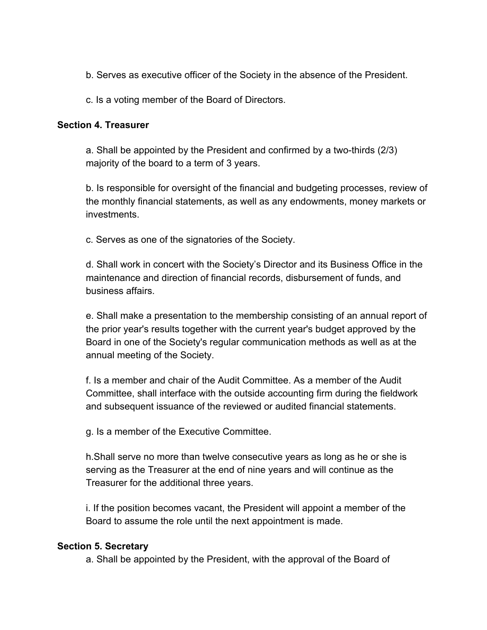- b. Serves as executive officer of the Society in the absence of the President.
- c. Is a voting member of the Board of Directors.

#### **Section 4. Treasurer**

a. Shall be appointed by the President and confirmed by a two-thirds (2/3) majority of the board to a term of 3 years.

b. Is responsible for oversight of the financial and budgeting processes, review of the monthly financial statements, as well as any endowments, money markets or investments.

c. Serves as one of the signatories of the Society.

d. Shall work in concert with the Society's Director and its Business Office in the maintenance and direction of financial records, disbursement of funds, and business affairs.

e. Shall make a presentation to the membership consisting of an annual report of the prior year's results together with the current year's budget approved by the Board in one of the Society's regular communication methods as well as at the annual meeting of the Society.

f. Is a member and chair of the Audit Committee. As a member of the Audit Committee, shall interface with the outside accounting firm during the fieldwork and subsequent issuance of the reviewed or audited financial statements.

g. Is a member of the Executive Committee.

h.Shall serve no more than twelve consecutive years as long as he or she is serving as the Treasurer at the end of nine years and will continue as the Treasurer for the additional three years.

i. If the position becomes vacant, the President will appoint a member of the Board to assume the role until the next appointment is made.

#### **Section 5. Secretary**

a. Shall be appointed by the President, with the approval of the Board of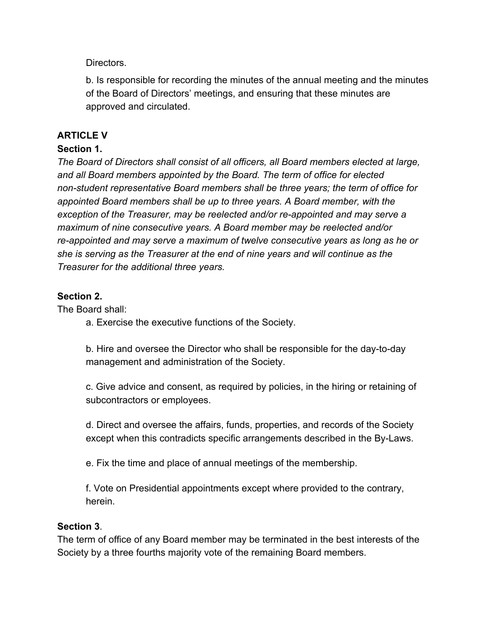Directors.

b. Is responsible for recording the minutes of the annual meeting and the minutes of the Board of Directors' meetings, and ensuring that these minutes are approved and circulated.

# **ARTICLE V**

## **Section 1.**

*The Board of Directors shall consist of all officers, all Board members elected at large, and all Board members appointed by the Board. The term of office for elected non-student representative Board members shall be three years; the term of office for appointed Board members shall be up to three years. A Board member, with the exception of the Treasurer, may be reelected and/or re-appointed and may serve a maximum of nine consecutive years. A Board member may be reelected and/or re-appointed and may serve a maximum of twelve consecutive years as long as he or she is serving as the Treasurer at the end of nine years and will continue as the Treasurer for the additional three years.*

## **Section 2.**

The Board shall:

a. Exercise the executive functions of the Society.

b. Hire and oversee the Director who shall be responsible for the day-to-day management and administration of the Society.

c. Give advice and consent, as required by policies, in the hiring or retaining of subcontractors or employees.

d. Direct and oversee the affairs, funds, properties, and records of the Society except when this contradicts specific arrangements described in the By-Laws.

e. Fix the time and place of annual meetings of the membership.

f. Vote on Presidential appointments except where provided to the contrary, herein.

## **Section 3**.

The term of office of any Board member may be terminated in the best interests of the Society by a three fourths majority vote of the remaining Board members.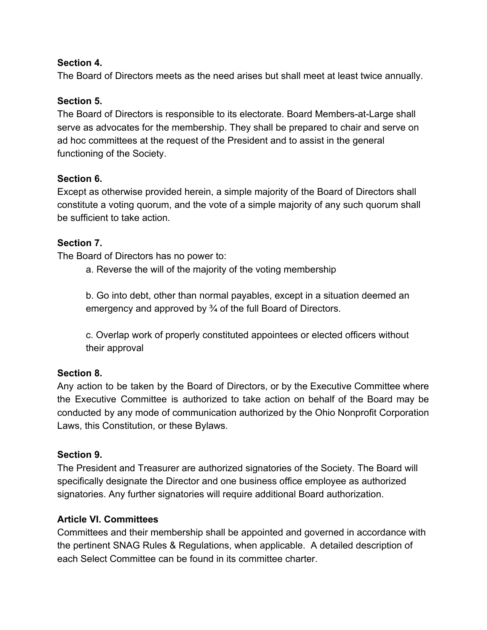## **Section 4.**

The Board of Directors meets as the need arises but shall meet at least twice annually.

### **Section 5.**

The Board of Directors is responsible to its electorate. Board Members-at-Large shall serve as advocates for the membership. They shall be prepared to chair and serve on ad hoc committees at the request of the President and to assist in the general functioning of the Society.

## **Section 6.**

Except as otherwise provided herein, a simple majority of the Board of Directors shall constitute a voting quorum, and the vote of a simple majority of any such quorum shall be sufficient to take action.

## **Section 7.**

The Board of Directors has no power to:

a. Reverse the will of the majority of the voting membership

b. Go into debt, other than normal payables, except in a situation deemed an emergency and approved by ¾ of the full Board of Directors.

c. Overlap work of properly constituted appointees or elected officers without their approval

## **Section 8.**

Any action to be taken by the Board of Directors, or by the Executive Committee where the Executive Committee is authorized to take action on behalf of the Board may be conducted by any mode of communication authorized by the Ohio Nonprofit Corporation Laws, this Constitution, or these Bylaws.

#### **Section 9.**

The President and Treasurer are authorized signatories of the Society. The Board will specifically designate the Director and one business office employee as authorized signatories. Any further signatories will require additional Board authorization.

#### **Article VI. Committees**

Committees and their membership shall be appointed and governed in accordance with the pertinent SNAG Rules & Regulations, when applicable. A detailed description of each Select Committee can be found in its committee charter.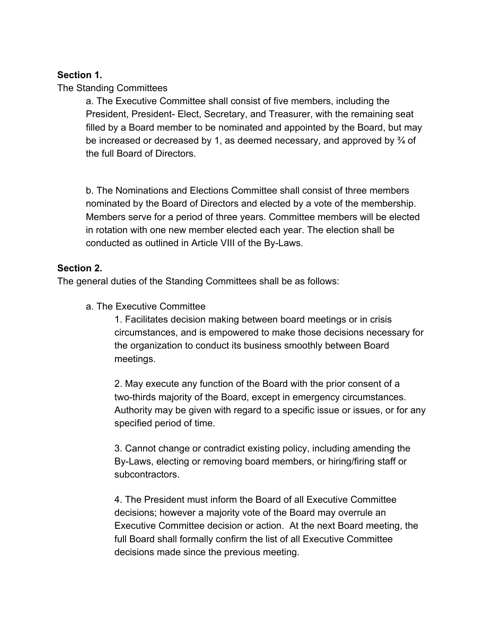### **Section 1.**

#### The Standing Committees

a. The Executive Committee shall consist of five members, including the President, President- Elect, Secretary, and Treasurer, with the remaining seat filled by a Board member to be nominated and appointed by the Board, but may be increased or decreased by 1, as deemed necessary, and approved by  $\frac{3}{4}$  of the full Board of Directors.

b. The Nominations and Elections Committee shall consist of three members nominated by the Board of Directors and elected by a vote of the membership. Members serve for a period of three years. Committee members will be elected in rotation with one new member elected each year. The election shall be conducted as outlined in Article VIII of the By-Laws.

#### **Section 2.**

The general duties of the Standing Committees shall be as follows:

a. The Executive Committee

1. Facilitates decision making between board meetings or in crisis circumstances, and is empowered to make those decisions necessary for the organization to conduct its business smoothly between Board meetings.

2. May execute any function of the Board with the prior consent of a two-thirds majority of the Board, except in emergency circumstances. Authority may be given with regard to a specific issue or issues, or for any specified period of time.

3. Cannot change or contradict existing policy, including amending the By-Laws, electing or removing board members, or hiring/firing staff or subcontractors.

4. The President must inform the Board of all Executive Committee decisions; however a majority vote of the Board may overrule an Executive Committee decision or action. At the next Board meeting, the full Board shall formally confirm the list of all Executive Committee decisions made since the previous meeting.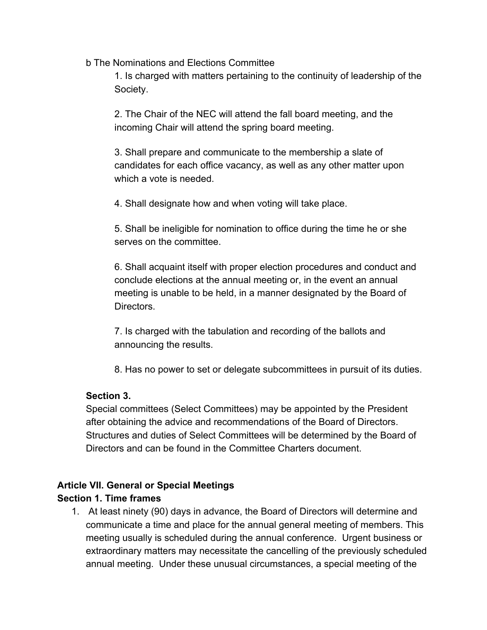b The Nominations and Elections Committee

1. Is charged with matters pertaining to the continuity of leadership of the Society.

2. The Chair of the NEC will attend the fall board meeting, and the incoming Chair will attend the spring board meeting.

3. Shall prepare and communicate to the membership a slate of candidates for each office vacancy, as well as any other matter upon which a vote is needed.

4. Shall designate how and when voting will take place.

5. Shall be ineligible for nomination to office during the time he or she serves on the committee.

6. Shall acquaint itself with proper election procedures and conduct and conclude elections at the annual meeting or, in the event an annual meeting is unable to be held, in a manner designated by the Board of Directors.

7. Is charged with the tabulation and recording of the ballots and announcing the results.

8. Has no power to set or delegate subcommittees in pursuit of its duties.

# **Section 3.**

Special committees (Select Committees) may be appointed by the President after obtaining the advice and recommendations of the Board of Directors. Structures and duties of Select Committees will be determined by the Board of Directors and can be found in the Committee Charters document.

# **Article VII. General or Special Meetings**

## **Section 1. Time frames**

1. At least ninety (90) days in advance, the Board of Directors will determine and communicate a time and place for the annual general meeting of members. This meeting usually is scheduled during the annual conference. Urgent business or extraordinary matters may necessitate the cancelling of the previously scheduled annual meeting. Under these unusual circumstances, a special meeting of the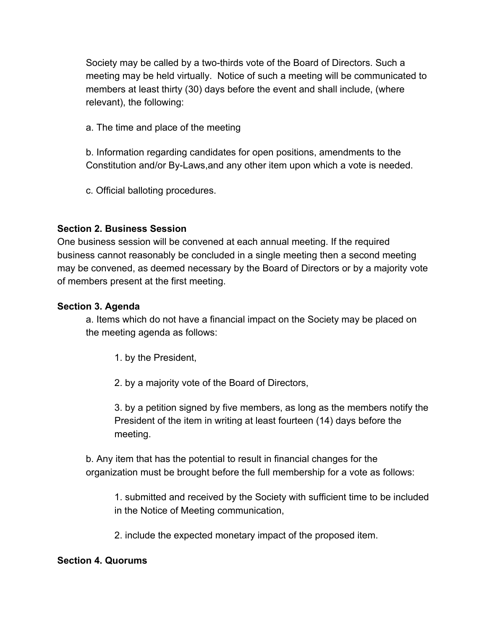Society may be called by a two-thirds vote of the Board of Directors. Such a meeting may be held virtually. Notice of such a meeting will be communicated to members at least thirty (30) days before the event and shall include, (where relevant), the following:

a. The time and place of the meeting

b. Information regarding candidates for open positions, amendments to the Constitution and/or By-Laws,and any other item upon which a vote is needed.

c. Official balloting procedures.

# **Section 2. Business Session**

One business session will be convened at each annual meeting. If the required business cannot reasonably be concluded in a single meeting then a second meeting may be convened, as deemed necessary by the Board of Directors or by a majority vote of members present at the first meeting.

# **Section 3. Agenda**

a. Items which do not have a financial impact on the Society may be placed on the meeting agenda as follows:

1. by the President,

2. by a majority vote of the Board of Directors,

3. by a petition signed by five members, as long as the members notify the President of the item in writing at least fourteen (14) days before the meeting.

b. Any item that has the potential to result in financial changes for the organization must be brought before the full membership for a vote as follows:

1. submitted and received by the Society with sufficient time to be included in the Notice of Meeting communication,

2. include the expected monetary impact of the proposed item.

# **Section 4. Quorums**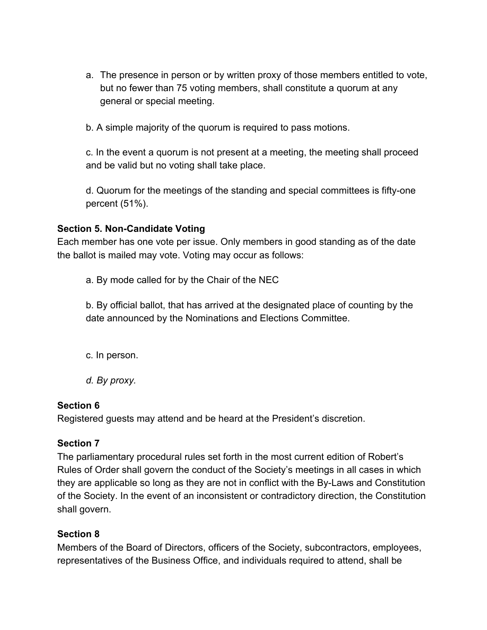a. The presence in person or by written proxy of those members entitled to vote, but no fewer than 75 voting members, shall constitute a quorum at any general or special meeting.

b. A simple majority of the quorum is required to pass motions.

c. In the event a quorum is not present at a meeting, the meeting shall proceed and be valid but no voting shall take place.

d. Quorum for the meetings of the standing and special committees is fifty-one percent (51%).

## **Section 5. Non-Candidate Voting**

Each member has one vote per issue. Only members in good standing as of the date the ballot is mailed may vote. Voting may occur as follows:

a. By mode called for by the Chair of the NEC

b. By official ballot, that has arrived at the designated place of counting by the date announced by the Nominations and Elections Committee.

- c. In person.
- *d. By proxy.*

## **Section 6**

Registered guests may attend and be heard at the President's discretion.

# **Section 7**

The parliamentary procedural rules set forth in the most current edition of Robert's Rules of Order shall govern the conduct of the Society's meetings in all cases in which they are applicable so long as they are not in conflict with the By-Laws and Constitution of the Society. In the event of an inconsistent or contradictory direction, the Constitution shall govern.

# **Section 8**

Members of the Board of Directors, officers of the Society, subcontractors, employees, representatives of the Business Office, and individuals required to attend, shall be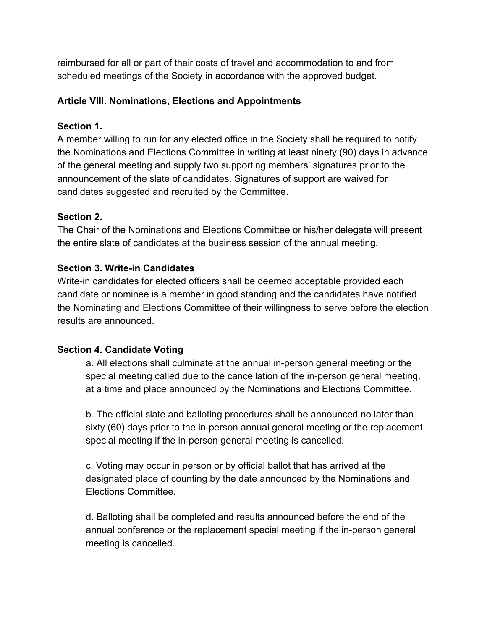reimbursed for all or part of their costs of travel and accommodation to and from scheduled meetings of the Society in accordance with the approved budget.

## **Article VIII. Nominations, Elections and Appointments**

## **Section 1.**

A member willing to run for any elected office in the Society shall be required to notify the Nominations and Elections Committee in writing at least ninety (90) days in advance of the general meeting and supply two supporting members' signatures prior to the announcement of the slate of candidates. Signatures of support are waived for candidates suggested and recruited by the Committee.

# **Section 2.**

The Chair of the Nominations and Elections Committee or his/her delegate will present the entire slate of candidates at the business session of the annual meeting.

# **Section 3. Write-in Candidates**

Write-in candidates for elected officers shall be deemed acceptable provided each candidate or nominee is a member in good standing and the candidates have notified the Nominating and Elections Committee of their willingness to serve before the election results are announced.

# **Section 4. Candidate Voting**

a. All elections shall culminate at the annual in-person general meeting or the special meeting called due to the cancellation of the in-person general meeting, at a time and place announced by the Nominations and Elections Committee.

b. The official slate and balloting procedures shall be announced no later than sixty (60) days prior to the in-person annual general meeting or the replacement special meeting if the in-person general meeting is cancelled.

c. Voting may occur in person or by official ballot that has arrived at the designated place of counting by the date announced by the Nominations and Elections Committee.

d. Balloting shall be completed and results announced before the end of the annual conference or the replacement special meeting if the in-person general meeting is cancelled.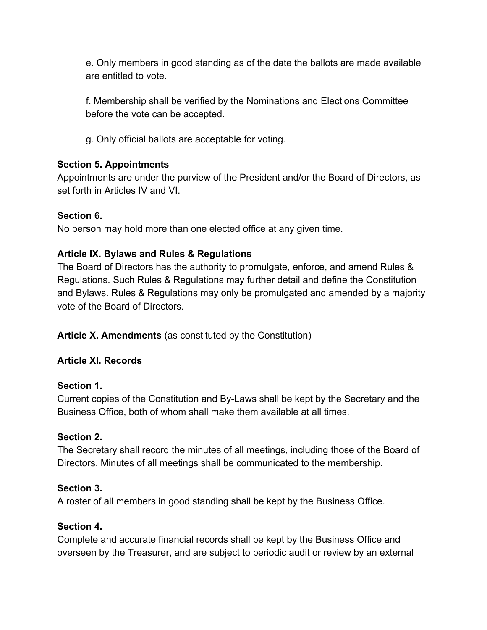e. Only members in good standing as of the date the ballots are made available are entitled to vote.

f. Membership shall be verified by the Nominations and Elections Committee before the vote can be accepted.

g. Only official ballots are acceptable for voting.

# **Section 5. Appointments**

Appointments are under the purview of the President and/or the Board of Directors, as set forth in Articles IV and VI.

# **Section 6.**

No person may hold more than one elected office at any given time.

# **Article IX. Bylaws and Rules & Regulations**

The Board of Directors has the authority to promulgate, enforce, and amend Rules & Regulations. Such Rules & Regulations may further detail and define the Constitution and Bylaws. Rules & Regulations may only be promulgated and amended by a majority vote of the Board of Directors.

**Article X. Amendments** (as constituted by the Constitution)

# **Article XI. Records**

# **Section 1.**

Current copies of the Constitution and By-Laws shall be kept by the Secretary and the Business Office, both of whom shall make them available at all times.

# **Section 2.**

The Secretary shall record the minutes of all meetings, including those of the Board of Directors. Minutes of all meetings shall be communicated to the membership.

# **Section 3.**

A roster of all members in good standing shall be kept by the Business Office.

# **Section 4.**

Complete and accurate financial records shall be kept by the Business Office and overseen by the Treasurer, and are subject to periodic audit or review by an external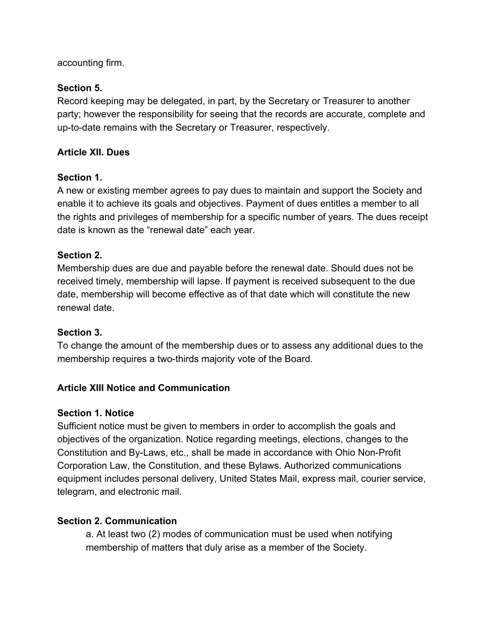accounting firm.

# **Section 5.**

Record keeping may be delegated, in part, by the Secretary or Treasurer to another party; however the responsibility for seeing that the records are accurate, complete and up-to-date remains with the Secretary or Treasurer, respectively.

# **Article XII. Dues**

# **Section 1.**

A new or existing member agrees to pay dues to maintain and support the Society and enable it to achieve its goals and objectives. Payment of dues entitles a member to all the rights and privileges of membership for a specific number of years. The dues receipt date is known as the "renewal date" each year.

# **Section 2.**

Membership dues are due and payable before the renewal date. Should dues not be received timely, membership will lapse. If payment is received subsequent to the due date, membership will become effective as of that date which will constitute the new renewal date.

# **Section 3.**

To change the amount of the membership dues or to assess any additional dues to the membership requires a two-thirds majority vote of the Board.

# **Article XIII Notice and Communication**

# **Section 1. Notice**

Sufficient notice must be given to members in order to accomplish the goals and objectives of the organization. Notice regarding meetings, elections, changes to the Constitution and By-Laws, etc., shall be made in accordance with Ohio Non-Profit Corporation Law, the Constitution, and these Bylaws. Authorized communications equipment includes personal delivery, United States Mail, express mail, courier service, telegram, and electronic mail.

# **Section 2. Communication**

a. At least two (2) modes of communication must be used when notifying membership of matters that duly arise as a member of the Society.